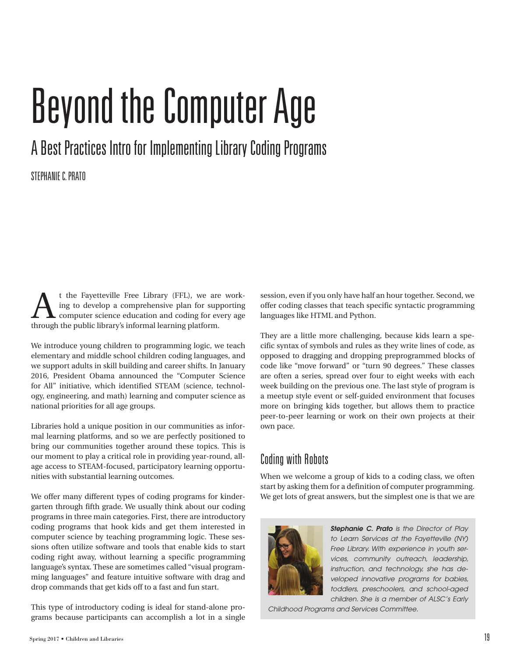# Beyond the Computer Age

# A Best Practices Intro for Implementing Library Coding Programs

#### STEPHANIE C. PRATO

t the Fayetteville Free Library (FFL), we are working to develop a comprehensive plan for supporting computer science education and coding for every age through the public library's informal learning platform.

We introduce young children to programming logic, we teach elementary and middle school children coding languages, and we support adults in skill building and career shifts. In January 2016, President Obama announced the "Computer Science for All" initiative, which identified STEAM (science, technology, engineering, and math) learning and computer science as national priorities for all age groups.

Libraries hold a unique position in our communities as informal learning platforms, and so we are perfectly positioned to bring our communities together around these topics. This is our moment to play a critical role in providing year-round, allage access to STEAM-focused, participatory learning opportunities with substantial learning outcomes.

We offer many different types of coding programs for kindergarten through fifth grade. We usually think about our coding programs in three main categories. First, there are introductory coding programs that hook kids and get them interested in computer science by teaching programming logic. These sessions often utilize software and tools that enable kids to start coding right away, without learning a specific programming language's syntax. These are sometimes called "visual programming languages" and feature intuitive software with drag and drop commands that get kids off to a fast and fun start.

This type of introductory coding is ideal for stand-alone programs because participants can accomplish a lot in a single session, even if you only have half an hour together. Second, we offer coding classes that teach specific syntactic programming languages like HTML and Python.

They are a little more challenging, because kids learn a specific syntax of symbols and rules as they write lines of code, as opposed to dragging and dropping preprogrammed blocks of code like "move forward" or "turn 90 degrees." These classes are often a series, spread over four to eight weeks with each week building on the previous one. The last style of program is a meetup style event or self-guided environment that focuses more on bringing kids together, but allows them to practice peer-to-peer learning or work on their own projects at their own pace.

# Coding with Robots

When we welcome a group of kids to a coding class, we often start by asking them for a definition of computer programming. We get lots of great answers, but the simplest one is that we are



*Stephanie C. Prato is the Director of Play to Learn Services at the Fayetteville (NY) Free Library. With experience in youth services, community outreach, leadership, instruction, and technology, she has developed innovative programs for babies, toddlers, preschoolers, and school-aged children. She is a member of ALSC's Early* 

*Childhood Programs and Services Committee.*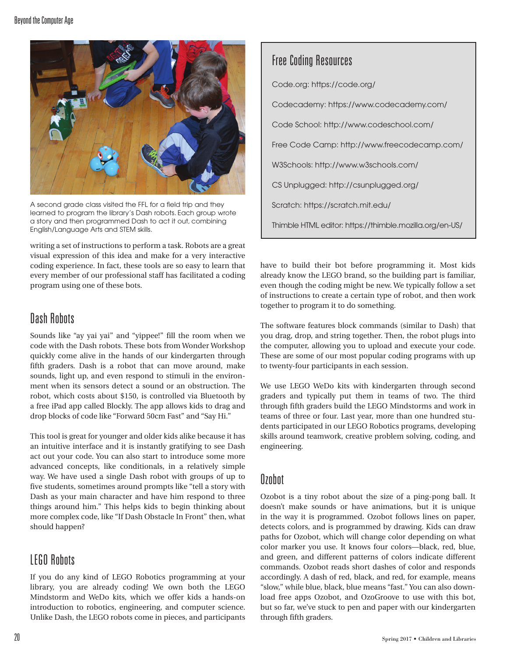

A second grade class visited the FFL for a field trip and they learned to program the library's Dash robots. Each group wrote a story and then programmed Dash to act it out, combining English/Language Arts and STEM skills.

writing a set of instructions to perform a task. Robots are a great visual expression of this idea and make for a very interactive coding experience. In fact, these tools are so easy to learn that every member of our professional staff has facilitated a coding program using one of these bots.

# Dash Robots

Sounds like "ay yai yai" and "yippee!" fill the room when we code with the Dash robots. These bots from Wonder Workshop quickly come alive in the hands of our kindergarten through fifth graders. Dash is a robot that can move around, make sounds, light up, and even respond to stimuli in the environment when its sensors detect a sound or an obstruction. The robot, which costs about \$150, is controlled via Bluetooth by a free iPad app called Blockly. The app allows kids to drag and drop blocks of code like "Forward 50cm Fast" and "Say Hi."

This tool is great for younger and older kids alike because it has an intuitive interface and it is instantly gratifying to see Dash act out your code. You can also start to introduce some more advanced concepts, like conditionals, in a relatively simple way. We have used a single Dash robot with groups of up to five students, sometimes around prompts like "tell a story with Dash as your main character and have him respond to three things around him." This helps kids to begin thinking about more complex code, like "If Dash Obstacle In Front" then, what should happen?

## LEGO Robots

If you do any kind of LEGO Robotics programming at your library, you are already coding! We own both the LEGO Mindstorm and WeDo kits, which we offer kids a hands-on introduction to robotics, engineering, and computer science. Unlike Dash, the LEGO robots come in pieces, and participants

Code.org: <https://code.org/> Codecademy: https:/[/www.codecademy.com/](https://www.codecademy.com/) Code School: http:/[/www.codeschool.com/](https://www.codeschool.com/) Free Code Camp: http:/[/www.freecodecamp.com/](https://www.freecodecamp.com/) W3Schools: http://[www.w3schools.com/](http://www.w3schools.com/) CS Unplugged: <http://csunplugged.org/> Scratch: <https://scratch.mit.edu/> Thimble HTML editor: <https://thimble.mozilla.org/en-US/>

have to build their bot before programming it. Most kids already know the LEGO brand, so the building part is familiar, even though the coding might be new. We typically follow a set of instructions to create a certain type of robot, and then work together to program it to do something.

The software features block commands (similar to Dash) that you drag, drop, and string together. Then, the robot plugs into the computer, allowing you to upload and execute your code. These are some of our most popular coding programs with up to twenty-four participants in each session.

We use LEGO WeDo kits with kindergarten through second graders and typically put them in teams of two. The third through fifth graders build the LEGO Mindstorms and work in teams of three or four. Last year, more than one hundred students participated in our LEGO Robotics programs, developing skills around teamwork, creative problem solving, coding, and engineering.

#### **Ozobot**

Ozobot is a tiny robot about the size of a ping-pong ball. It doesn't make sounds or have animations, but it is unique in the way it is programmed. Ozobot follows lines on paper, detects colors, and is programmed by drawing. Kids can draw paths for Ozobot, which will change color depending on what color marker you use. It knows four colors—black, red, blue, and green, and different patterns of colors indicate different commands. Ozobot reads short dashes of color and responds accordingly. A dash of red, black, and red, for example, means "slow," while blue, black, blue means "fast." You can also download free apps Ozobot, and OzoGroove to use with this bot, but so far, we've stuck to pen and paper with our kindergarten through fifth graders.